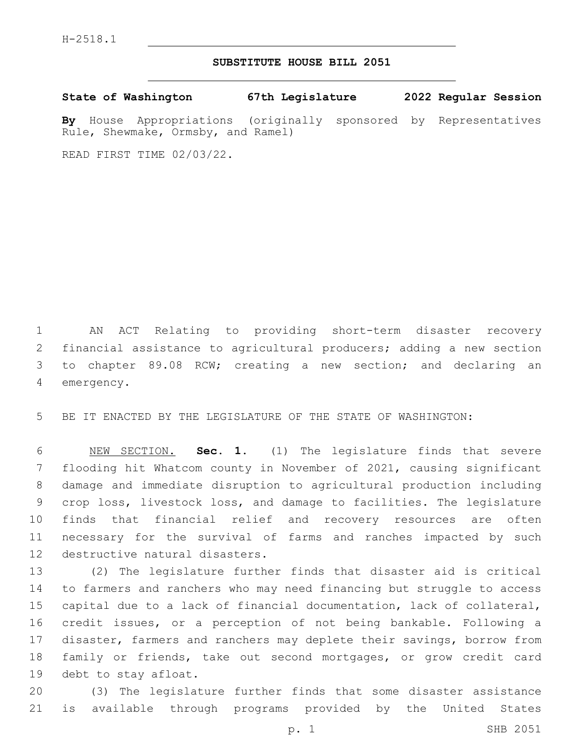## **SUBSTITUTE HOUSE BILL 2051**

**State of Washington 67th Legislature 2022 Regular Session**

**By** House Appropriations (originally sponsored by Representatives Rule, Shewmake, Ormsby, and Ramel)

READ FIRST TIME 02/03/22.

 AN ACT Relating to providing short-term disaster recovery financial assistance to agricultural producers; adding a new section to chapter 89.08 RCW; creating a new section; and declaring an 4 emergency.

BE IT ENACTED BY THE LEGISLATURE OF THE STATE OF WASHINGTON:

 NEW SECTION. **Sec. 1.** (1) The legislature finds that severe flooding hit Whatcom county in November of 2021, causing significant damage and immediate disruption to agricultural production including crop loss, livestock loss, and damage to facilities. The legislature finds that financial relief and recovery resources are often necessary for the survival of farms and ranches impacted by such destructive natural disasters.

 (2) The legislature further finds that disaster aid is critical to farmers and ranchers who may need financing but struggle to access capital due to a lack of financial documentation, lack of collateral, credit issues, or a perception of not being bankable. Following a disaster, farmers and ranchers may deplete their savings, borrow from family or friends, take out second mortgages, or grow credit card 19 debt to stay afloat.

 (3) The legislature further finds that some disaster assistance is available through programs provided by the United States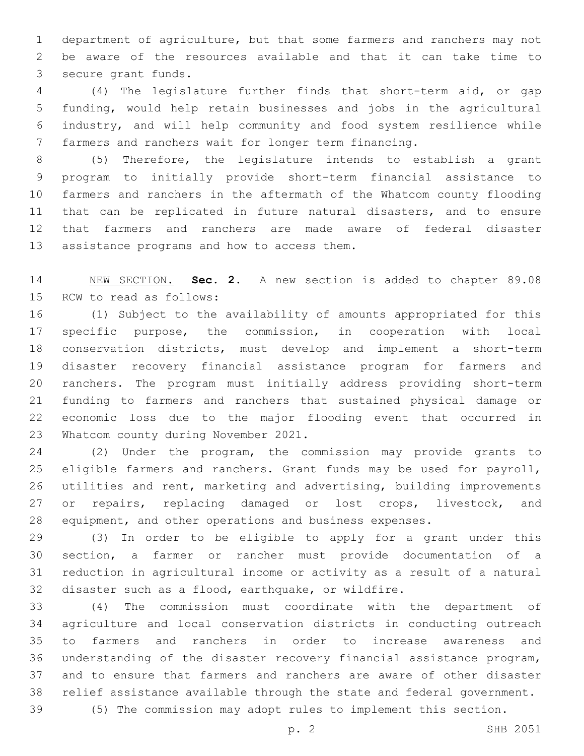department of agriculture, but that some farmers and ranchers may not be aware of the resources available and that it can take time to 3 secure grant funds.

 (4) The legislature further finds that short-term aid, or gap funding, would help retain businesses and jobs in the agricultural industry, and will help community and food system resilience while farmers and ranchers wait for longer term financing.

 (5) Therefore, the legislature intends to establish a grant program to initially provide short-term financial assistance to farmers and ranchers in the aftermath of the Whatcom county flooding that can be replicated in future natural disasters, and to ensure that farmers and ranchers are made aware of federal disaster 13 assistance programs and how to access them.

 NEW SECTION. **Sec. 2.** A new section is added to chapter 89.08 15 RCW to read as follows:

 (1) Subject to the availability of amounts appropriated for this specific purpose, the commission, in cooperation with local conservation districts, must develop and implement a short-term disaster recovery financial assistance program for farmers and ranchers. The program must initially address providing short-term funding to farmers and ranchers that sustained physical damage or economic loss due to the major flooding event that occurred in 23 Whatcom county during November 2021.

 (2) Under the program, the commission may provide grants to 25 eligible farmers and ranchers. Grant funds may be used for payroll, utilities and rent, marketing and advertising, building improvements 27 or repairs, replacing damaged or lost crops, livestock, and equipment, and other operations and business expenses.

 (3) In order to be eligible to apply for a grant under this section, a farmer or rancher must provide documentation of a reduction in agricultural income or activity as a result of a natural disaster such as a flood, earthquake, or wildfire.

 (4) The commission must coordinate with the department of agriculture and local conservation districts in conducting outreach to farmers and ranchers in order to increase awareness and understanding of the disaster recovery financial assistance program, and to ensure that farmers and ranchers are aware of other disaster relief assistance available through the state and federal government.

(5) The commission may adopt rules to implement this section.